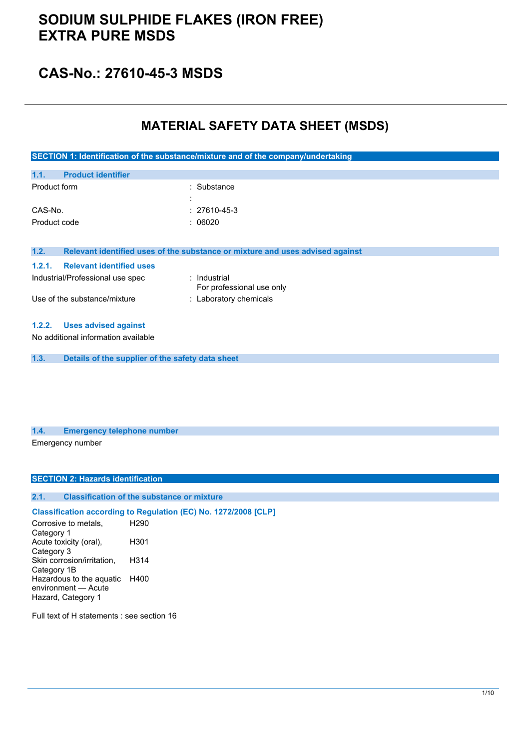## **CAS-No.: 27610-45-3 MSDS**

## **MATERIAL SAFETY DATA SHEET (MSDS)**

| SECTION 1: Identification of the substance/mixture and of the company/undertaking |                                                                               |  |
|-----------------------------------------------------------------------------------|-------------------------------------------------------------------------------|--|
|                                                                                   |                                                                               |  |
| <b>Product identifier</b><br>1.1.                                                 |                                                                               |  |
| Product form                                                                      | : Substance                                                                   |  |
|                                                                                   |                                                                               |  |
| CAS-No.                                                                           | $: 27610 - 45 - 3$                                                            |  |
| Product code                                                                      | : 06020                                                                       |  |
|                                                                                   |                                                                               |  |
| 1.2.                                                                              | Relevant identified uses of the substance or mixture and uses advised against |  |
| <b>Relevant identified uses</b><br>1.2.1.                                         |                                                                               |  |
| Industrial/Professional use spec                                                  | : Industrial<br>For professional use only                                     |  |
| Use of the substance/mixture                                                      | : Laboratory chemicals                                                        |  |
| <b>Uses advised against</b><br>1.2.2.                                             |                                                                               |  |
| No additional information available                                               |                                                                               |  |
| 1.3.<br>Details of the supplier of the safety data sheet                          |                                                                               |  |

#### **1.4. Emergency telephone number** Emergency number

#### **SECTION 2: Hazards identification**

### **2.1. Classification of the substance or mixture**

### **Classification according to Regulation (EC) No. 1272/2008 [CLP]**

Corrosive to metals, Category 1 H290 Acute toxicity (oral), Category 3 H301 Skin corrosion/irritation, Category 1B H314 Hazardous to the aquatic H400 environment — Acute Hazard, Category 1

Full text of H statements : see section 16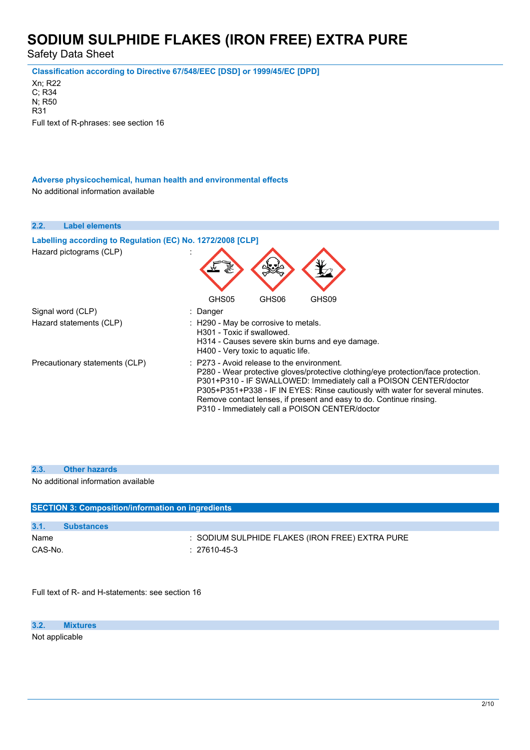Safety Data Sheet

**Classification according to Directive 67/548/EEC [DSD] or 1999/45/EC [DPD]**

Xn; R22 C; R34 N; R50 R31 Full text of R-phrases: see section 16

**Adverse physicochemical, human health and environmental effects** No additional information available

**2.2. Label elements** Labelling according to Regulation (EC) No. 1272/2008 [CLP] Hazard pictograms (CLP) : GHS05 GHS06 GHS09 Signal word (CLP) : Danger Hazard statements (CLP) : H290 - May be corrosive to metals. H301 - Toxic if swallowed. H314 - Causes severe skin burns and eye damage. H400 - Very toxic to aquatic life. Precautionary statements (CLP) : P273 - Avoid release to the environment. P280 - Wear protective gloves/protective clothing/eye protection/face protection. P301+P310 - IF SWALLOWED: Immediately call a POISON CENTER/doctor P305+P351+P338 - IF IN EYES: Rinse cautiously with water for several minutes. Remove contact lenses, if present and easy to do. Continue rinsing. P310 - Immediately call a POISON CENTER/doctor

| 2.3.                                                     | <b>Other hazards</b>                |  |  |
|----------------------------------------------------------|-------------------------------------|--|--|
|                                                          | No additional information available |  |  |
|                                                          |                                     |  |  |
|                                                          |                                     |  |  |
| <b>SECTION 3: Composition/information on ingredients</b> |                                     |  |  |
|                                                          |                                     |  |  |
|                                                          | <b>Substances</b>                   |  |  |

Name **Internal Contract Contract Contract Contract Contract Contract Contract Contract Contract Contract Contract Contract Contract Contract Contract Contract Contract Contract Contract Contract Contract Contract Contract** CAS-No. : 27610-45-3

Full text of R- and H-statements: see section 16

**3.2. Mixtures** Not applicable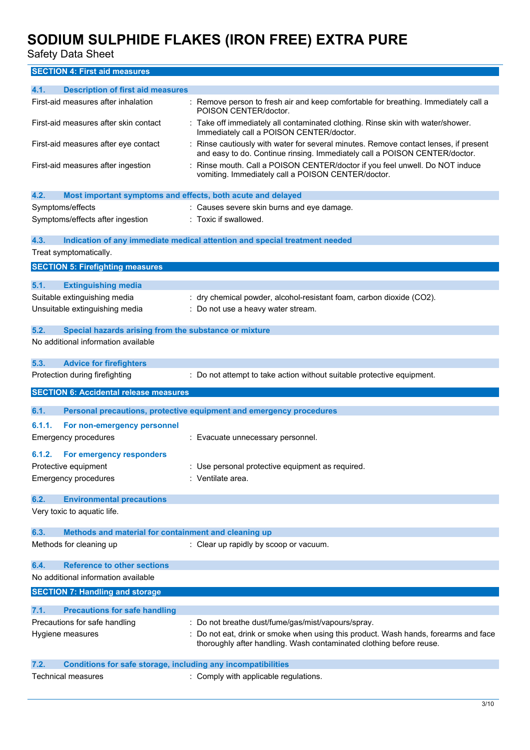Safety Data Sheet

**SECTION 4: First aid measures**

| 4.1.<br><b>Description of first aid measures</b>                            |                                                                                                                                                                    |
|-----------------------------------------------------------------------------|--------------------------------------------------------------------------------------------------------------------------------------------------------------------|
| First-aid measures after inhalation                                         | : Remove person to fresh air and keep comfortable for breathing. Immediately call a<br>POISON CENTER/doctor.                                                       |
| First-aid measures after skin contact                                       | : Take off immediately all contaminated clothing. Rinse skin with water/shower.<br>Immediately call a POISON CENTER/doctor.                                        |
| First-aid measures after eye contact                                        | : Rinse cautiously with water for several minutes. Remove contact lenses, if present<br>and easy to do. Continue rinsing. Immediately call a POISON CENTER/doctor. |
| First-aid measures after ingestion                                          | : Rinse mouth. Call a POISON CENTER/doctor if you feel unwell. Do NOT induce<br>vomiting. Immediately call a POISON CENTER/doctor.                                 |
| 4.2.<br>Most important symptoms and effects, both acute and delayed         |                                                                                                                                                                    |
| Symptoms/effects                                                            | : Causes severe skin burns and eye damage.                                                                                                                         |
| Symptoms/effects after ingestion                                            | : Toxic if swallowed.                                                                                                                                              |
| 4.3.                                                                        | Indication of any immediate medical attention and special treatment needed                                                                                         |
| Treat symptomatically.                                                      |                                                                                                                                                                    |
| <b>SECTION 5: Firefighting measures</b>                                     |                                                                                                                                                                    |
| 5.1.<br><b>Extinguishing media</b>                                          |                                                                                                                                                                    |
| Suitable extinguishing media                                                | : dry chemical powder, alcohol-resistant foam, carbon dioxide (CO2).                                                                                               |
| Unsuitable extinguishing media                                              | : Do not use a heavy water stream.                                                                                                                                 |
| 5.2.<br>Special hazards arising from the substance or mixture               |                                                                                                                                                                    |
| No additional information available                                         |                                                                                                                                                                    |
|                                                                             |                                                                                                                                                                    |
| 5.3.<br><b>Advice for firefighters</b>                                      |                                                                                                                                                                    |
| Protection during firefighting                                              | : Do not attempt to take action without suitable protective equipment.                                                                                             |
|                                                                             |                                                                                                                                                                    |
| <b>SECTION 6: Accidental release measures</b>                               |                                                                                                                                                                    |
| 6.1.                                                                        | Personal precautions, protective equipment and emergency procedures                                                                                                |
| 6.1.1.<br>For non-emergency personnel                                       |                                                                                                                                                                    |
| <b>Emergency procedures</b>                                                 | : Evacuate unnecessary personnel.                                                                                                                                  |
| 6.1.2.                                                                      |                                                                                                                                                                    |
| For emergency responders<br>Protective equipment                            | : Use personal protective equipment as required.                                                                                                                   |
| <b>Emergency procedures</b>                                                 | : Ventilate area.                                                                                                                                                  |
|                                                                             |                                                                                                                                                                    |
| 6.2.<br><b>Environmental precautions</b>                                    |                                                                                                                                                                    |
| Very toxic to aquatic life.                                                 |                                                                                                                                                                    |
| 6.3.<br>Methods and material for containment and cleaning up                |                                                                                                                                                                    |
| Methods for cleaning up                                                     | : Clear up rapidly by scoop or vacuum.                                                                                                                             |
| <b>Reference to other sections</b><br>6.4.                                  |                                                                                                                                                                    |
| No additional information available                                         |                                                                                                                                                                    |
| <b>SECTION 7: Handling and storage</b>                                      |                                                                                                                                                                    |
| 7.1.<br><b>Precautions for safe handling</b>                                |                                                                                                                                                                    |
| Precautions for safe handling                                               | : Do not breathe dust/fume/gas/mist/vapours/spray.                                                                                                                 |
| Hygiene measures                                                            | : Do not eat, drink or smoke when using this product. Wash hands, forearms and face<br>thoroughly after handling. Wash contaminated clothing before reuse.         |
| <b>Conditions for safe storage, including any incompatibilities</b><br>7.2. |                                                                                                                                                                    |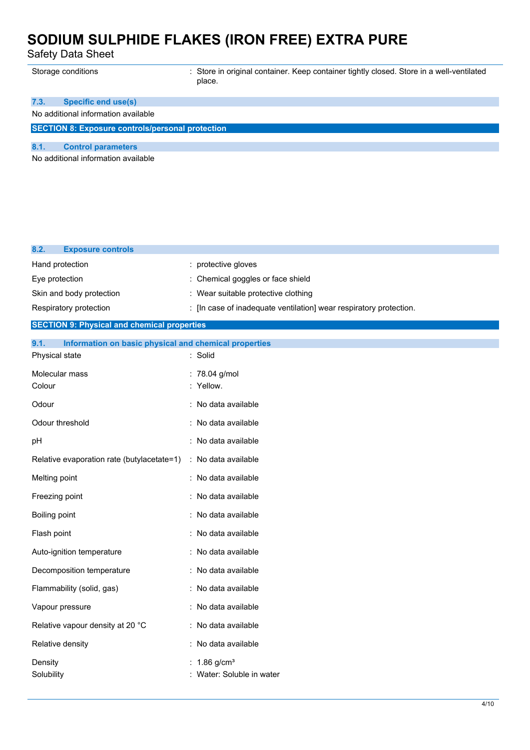Safety Data Sheet

| Storage conditions                                      | : Store in original container. Keep container tightly closed. Store in a well-ventilated<br>place. |
|---------------------------------------------------------|----------------------------------------------------------------------------------------------------|
| Specific end use(s)<br>7.3.                             |                                                                                                    |
| No additional information available                     |                                                                                                    |
| <b>SECTION 8: Exposure controls/personal protection</b> |                                                                                                    |
| 8.1.<br><b>Control parameters</b>                       |                                                                                                    |
| No additional information available                     |                                                                                                    |
|                                                         |                                                                                                    |

| 8.2.<br><b>Exposure controls</b> |                                                                    |
|----------------------------------|--------------------------------------------------------------------|
| Hand protection                  | : protective gloves                                                |
| Eye protection                   | : Chemical goggles or face shield                                  |
| Skin and body protection         | : Wear suitable protective clothing                                |
| Respiratory protection           | : [In case of inadequate ventilation] wear respiratory protection. |
| ----------                       |                                                                    |

#### **SECTION 9: Physical and chemical properties**

| 9.1.<br>Information on basic physical and chemical properties |                                           |
|---------------------------------------------------------------|-------------------------------------------|
| Physical state                                                | : Solid                                   |
| Molecular mass<br>Colour                                      | : 78.04 g/mol<br>: Yellow.                |
| Odour                                                         | : No data available                       |
| Odour threshold                                               | : No data available                       |
| pH                                                            | : No data available                       |
| Relative evaporation rate (butylacetate=1)                    | : No data available                       |
| Melting point                                                 | : No data available                       |
| Freezing point                                                | : No data available                       |
| Boiling point                                                 | : No data available                       |
| Flash point                                                   | : No data available                       |
| Auto-ignition temperature                                     | : No data available                       |
| Decomposition temperature                                     | : No data available                       |
| Flammability (solid, gas)                                     | : No data available                       |
| Vapour pressure                                               | No data available                         |
| Relative vapour density at 20 °C                              | : No data available                       |
| Relative density                                              | : No data available                       |
| Density<br>Solubility                                         | 1.86 $g/cm3$<br>: Water: Soluble in water |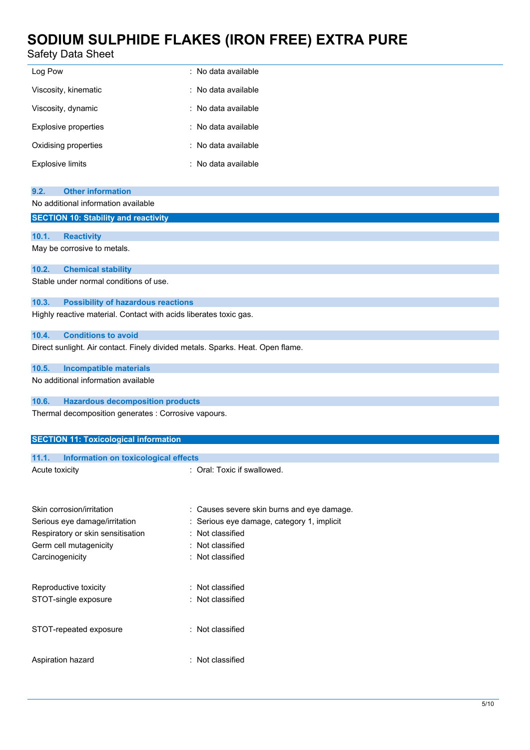### Safety Data Sheet

|                      | : No data available   |
|----------------------|-----------------------|
| Log Pow              |                       |
| Viscosity, kinematic | $:$ No data available |
| Viscosity, dynamic   | : No data available   |
| Explosive properties | : No data available   |
| Oxidising properties | : No data available   |
| Explosive limits     | : No data available   |

| 9.2. Other information              |
|-------------------------------------|
| No additional information available |

#### **SECTION 10: Stability and reactivity**

### **10.1. Reactivity** May be corrosive to metals.

### **10.2. Chemical stability**

Stable under normal conditions of use.

#### **10.3. Possibility of hazardous reactions**

Highly reactive material. Contact with acids liberates toxic gas.

#### **10.4. Conditions to avoid**

Direct sunlight. Air contact. Finely divided metals. Sparks. Heat. Open flame.

#### **10.5. Incompatible materials**

No additional information available

#### **10.6. Hazardous decomposition products**

Thermal decomposition generates : Corrosive vapours.

### **SECTION 11: Toxicological information**

|                | 11.1. Information on toxicological effects |                                                                                                                                                                                                                                |
|----------------|--------------------------------------------|--------------------------------------------------------------------------------------------------------------------------------------------------------------------------------------------------------------------------------|
| Acute toxicity |                                            | : Oral: Toxic if swallowed.                                                                                                                                                                                                    |
|                |                                            |                                                                                                                                                                                                                                |
|                |                                            |                                                                                                                                                                                                                                |
|                |                                            | A service of the service of the first service of the service of the service of the service of the service of the service of the service of the service of the service of the service of the service of the service of the serv |

| Skin corrosion/irritation         | : Causes severe skin burns and eye damage. |
|-----------------------------------|--------------------------------------------|
| Serious eye damage/irritation     | : Serious eye damage, category 1, implicit |
| Respiratory or skin sensitisation | : Not classified                           |
| Germ cell mutagenicity            | : Not classified                           |
| Carcinogenicity                   | : Not classified                           |
|                                   |                                            |
| Reproductive toxicity             | : Not classified                           |
| STOT-single exposure              | : Not classified                           |
|                                   |                                            |
| STOT-repeated exposure            | : Not classified                           |
|                                   |                                            |
| Aspiration hazard                 | : Not classified                           |
|                                   |                                            |
|                                   |                                            |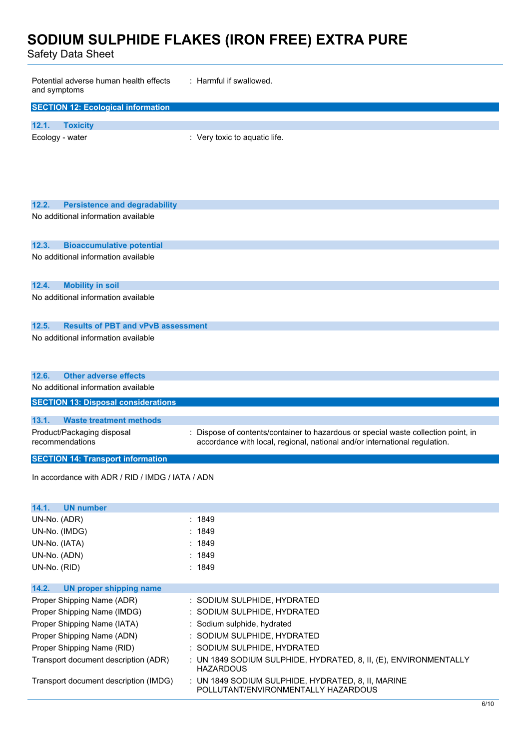Safety Data Sheet

| Potential adverse human health effects<br>and symptoms | : Harmful if swallowed.                                                                                                                                          |
|--------------------------------------------------------|------------------------------------------------------------------------------------------------------------------------------------------------------------------|
| <b>SECTION 12: Ecological information</b>              |                                                                                                                                                                  |
| 12.1.<br><b>Toxicity</b>                               |                                                                                                                                                                  |
| Ecology - water                                        | : Very toxic to aquatic life.                                                                                                                                    |
|                                                        |                                                                                                                                                                  |
|                                                        |                                                                                                                                                                  |
|                                                        |                                                                                                                                                                  |
| 12.2.<br><b>Persistence and degradability</b>          |                                                                                                                                                                  |
| No additional information available                    |                                                                                                                                                                  |
|                                                        |                                                                                                                                                                  |
| 12.3.<br><b>Bioaccumulative potential</b>              |                                                                                                                                                                  |
| No additional information available                    |                                                                                                                                                                  |
|                                                        |                                                                                                                                                                  |
| 12.4.<br><b>Mobility in soil</b>                       |                                                                                                                                                                  |
| No additional information available                    |                                                                                                                                                                  |
|                                                        |                                                                                                                                                                  |
| <b>Results of PBT and vPvB assessment</b><br>12.5.     |                                                                                                                                                                  |
| No additional information available                    |                                                                                                                                                                  |
|                                                        |                                                                                                                                                                  |
| <b>Other adverse effects</b><br>12.6.                  |                                                                                                                                                                  |
| No additional information available                    |                                                                                                                                                                  |
|                                                        |                                                                                                                                                                  |
| <b>SECTION 13: Disposal considerations</b>             |                                                                                                                                                                  |
| 13.1.<br><b>Waste treatment methods</b>                |                                                                                                                                                                  |
| Product/Packaging disposal<br>recommendations          | : Dispose of contents/container to hazardous or special waste collection point, in<br>accordance with local, regional, national and/or international regulation. |
|                                                        |                                                                                                                                                                  |
| <b>SECTION 14: Transport information</b>               |                                                                                                                                                                  |
| In accordance with ADR / RID / IMDG / IATA / ADN       |                                                                                                                                                                  |
|                                                        |                                                                                                                                                                  |
| 14.1.<br><b>UN number</b>                              |                                                                                                                                                                  |
| UN-No. (ADR)                                           | : 1849                                                                                                                                                           |
| UN-No. (IMDG)                                          | : 1849                                                                                                                                                           |
| UN-No. (IATA)                                          | : 1849                                                                                                                                                           |
| UN-No. (ADN)                                           | : 1849                                                                                                                                                           |
| UN-No. (RID)                                           | : 1849                                                                                                                                                           |
| 14.2.<br><b>UN proper shipping name</b>                |                                                                                                                                                                  |
| Proper Shipping Name (ADR)                             | : SODIUM SULPHIDE, HYDRATED                                                                                                                                      |
| Proper Shipping Name (IMDG)                            | : SODIUM SULPHIDE, HYDRATED                                                                                                                                      |
| Proper Shipping Name (IATA)                            | : Sodium sulphide, hydrated                                                                                                                                      |
| Proper Shipping Name (ADN)                             | : SODIUM SULPHIDE, HYDRATED                                                                                                                                      |
| Proper Shipping Name (RID)                             | : SODIUM SULPHIDE, HYDRATED                                                                                                                                      |
| Transport document description (ADR)                   | : UN 1849 SODIUM SULPHIDE, HYDRATED, 8, II, (E), ENVIRONMENTALLY<br><b>HAZARDOUS</b>                                                                             |
| Transport document description (IMDG)                  | : UN 1849 SODIUM SULPHIDE, HYDRATED, 8, II, MARINE<br>POLLUTANT/ENVIRONMENTALLY HAZARDOUS                                                                        |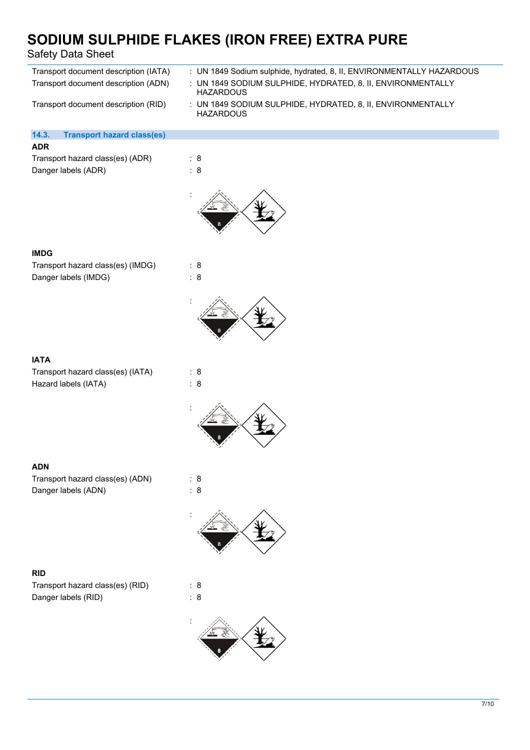| Safety Data Sheet                                                             | SODIUM SULPHIDE FLAKES (IRON FREE) EXTRA PURE                                                                                                            |
|-------------------------------------------------------------------------------|----------------------------------------------------------------------------------------------------------------------------------------------------------|
| Transport document description (IATA)<br>Transport document description (ADN) | : UN 1849 Sodium sulphide, hydrated, 8, II, ENVIRONMENTALLY HAZARDOUS<br>: UN 1849 SODIUM SULPHIDE, HYDRATED, 8, II, ENVIRONMENTALLY<br><b>HAZARDOUS</b> |
| Transport document description (RID)                                          | : UN 1849 SODIUM SULPHIDE, HYDRATED, 8, II, ENVIRONMENTALLY<br><b>HAZARDOUS</b>                                                                          |
| 14.3.<br><b>Transport hazard class(es)</b>                                    |                                                                                                                                                          |
| <b>ADR</b>                                                                    |                                                                                                                                                          |
| Transport hazard class(es) (ADR)<br>Danger labels (ADR)                       | : 8<br>$\therefore$ 8                                                                                                                                    |
|                                                                               |                                                                                                                                                          |
| <b>IMDG</b>                                                                   |                                                                                                                                                          |
| Transport hazard class(es) (IMDG)<br>Danger labels (IMDG)                     | : 8<br>$\therefore$ 8                                                                                                                                    |
|                                                                               |                                                                                                                                                          |
| <b>IATA</b>                                                                   |                                                                                                                                                          |
| Transport hazard class(es) (IATA)                                             | : 8                                                                                                                                                      |
| Hazard labels (IATA)                                                          | $\therefore$ 8                                                                                                                                           |
|                                                                               |                                                                                                                                                          |
| <b>ADN</b>                                                                    |                                                                                                                                                          |
| Transport hazard class(es) (ADN)                                              | : 8                                                                                                                                                      |
| Danger labels (ADN)                                                           | : 8                                                                                                                                                      |



### **RID**

Transport hazard class(es) (RID) : 8 Danger labels (RID) : 8

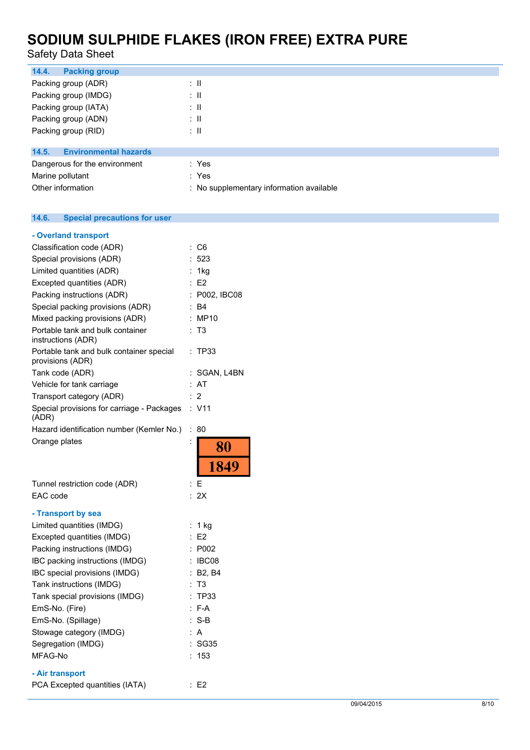Safety Data Sheet

| 14.4.<br><b>Packing group</b>         |                                          |
|---------------------------------------|------------------------------------------|
| Packing group (ADR)                   | ÷Ш                                       |
| Packing group (IMDG)                  | ÷Ш                                       |
| Packing group (IATA)                  | ÷Ш                                       |
| Packing group (ADN)                   | ÷Ш                                       |
| Packing group (RID)                   | ÷Ш                                       |
|                                       |                                          |
| <b>Environmental hazards</b><br>14.5. |                                          |
| Dangerous for the environment         | : Yes                                    |
| Marine pollutant                      | : Yes                                    |
| Other information                     | : No supplementary information available |

### **14.6. Special precautions for user**

| - Overland transport                                         |                      |                |
|--------------------------------------------------------------|----------------------|----------------|
| Classification code (ADR)                                    | $\ddot{\phantom{a}}$ | C6             |
| Special provisions (ADR)                                     |                      | 523            |
| Limited quantities (ADR)                                     |                      | 1kg            |
| Excepted quantities (ADR)                                    | $\ddot{\phantom{0}}$ | E2             |
| Packing instructions (ADR)                                   | $\ddot{\phantom{a}}$ | P002, IBC08    |
| Special packing provisions (ADR)                             |                      | B4             |
| Mixed packing provisions (ADR)                               |                      | MP10           |
| Portable tank and bulk container<br>instructions (ADR)       | t.                   | T3             |
| Portable tank and bulk container special<br>provisions (ADR) | ÷                    | TP33           |
| Tank code (ADR)                                              |                      | SGAN, L4BN     |
| Vehicle for tank carriage                                    | t                    | AT             |
| Transport category (ADR)                                     |                      | 2              |
| Special provisions for carriage - Packages<br>(ADR)          |                      | : V11          |
| Hazard identification number (Kemler No.)                    | $\ddot{\cdot}$       | 80             |
| Orange plates                                                |                      | 80             |
|                                                              |                      | 1849           |
| Tunnel restriction code (ADR)                                | $\ddot{\phantom{a}}$ | F              |
| EAC code                                                     |                      | 2X             |
| - Transport by sea                                           |                      |                |
| Limited quantities (IMDG)                                    | $\ddot{\phantom{a}}$ | 1 kg           |
| Excepted quantities (IMDG)                                   |                      | E2             |
| Packing instructions (IMDG)                                  |                      | P002           |
| IBC packing instructions (IMDG)                              |                      | IBC08          |
| IBC special provisions (IMDG)                                |                      | <b>B2, B4</b>  |
| Tank instructions (IMDG)                                     |                      | T <sub>3</sub> |
| Tank special provisions (IMDG)                               |                      | <b>TP33</b>    |
| EmS-No. (Fire)                                               | $\vdots$             | F-A            |
| EmS-No. (Spillage)                                           |                      | $S-B$          |
| Stowage category (IMDG)                                      |                      | A              |
| Segregation (IMDG)                                           |                      | <b>SG35</b>    |
| MFAG-No                                                      |                      | 153            |
| - Air transport                                              |                      |                |
| PCA Excepted quantities (IATA)                               |                      | E <sub>2</sub> |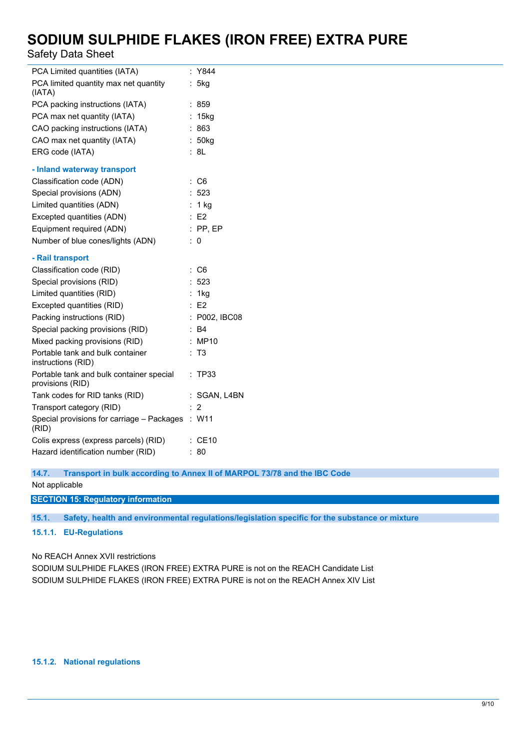Safety Data Sheet

| PCA Limited quantities (IATA)                                | : Y844             |
|--------------------------------------------------------------|--------------------|
| PCA limited quantity max net quantity<br>(IATA)              | : 5kg              |
| PCA packing instructions (IATA)                              | : 859              |
| PCA max net quantity (IATA)                                  | : 15kg             |
| CAO packing instructions (IATA)                              | :863               |
| CAO max net quantity (IATA)                                  | : 50 <sub>kq</sub> |
| ERG code (IATA)                                              | : 8L               |
| - Inland waterway transport                                  |                    |
| Classification code (ADN)                                    | $\therefore$ C6    |
| Special provisions (ADN)                                     | : 523              |
| Limited quantities (ADN)                                     | : 1 kg             |
| Excepted quantities (ADN)                                    | E2                 |
| Equipment required (ADN)                                     | $:$ PP, EP         |
| Number of blue cones/lights (ADN)                            | $\therefore$ 0     |
| - Rail transport                                             |                    |
| Classification code (RID)                                    | $\therefore$ C6    |
| Special provisions (RID)                                     | : 523              |
| Limited quantities (RID)                                     | : 1kg              |
| Excepted quantities (RID)                                    | $\therefore$ E2    |
| Packing instructions (RID)                                   | : P002, IBC08      |
| Special packing provisions (RID)                             | : B4               |
| Mixed packing provisions (RID)                               | : MP10             |
| Portable tank and bulk container<br>instructions (RID)       | : T3               |
| Portable tank and bulk container special<br>provisions (RID) | : TP33             |
| Tank codes for RID tanks (RID)                               | : SGAN, L4BN       |
| Transport category (RID)                                     | : 2                |
| Special provisions for carriage - Packages : W11<br>(RID)    |                    |
| Colis express (express parcels) (RID)                        | $\therefore$ CE10  |
| Hazard identification number (RID)                           | : 80               |

**14.7. Transport in bulk according to Annex II of MARPOL 73/78 and the IBC Code**

Not applicable

**SECTION 15: Regulatory information**

**15.1. Safety, health and environmental regulations/legislation specific for the substance or mixture**

#### **15.1.1. EU-Regulations**

No REACH Annex XVII restrictions

SODIUM SULPHIDE FLAKES (IRON FREE) EXTRA PURE is not on the REACH Candidate List SODIUM SULPHIDE FLAKES (IRON FREE) EXTRA PURE is not on the REACH Annex XIV List

### **15.1.2. National regulations**